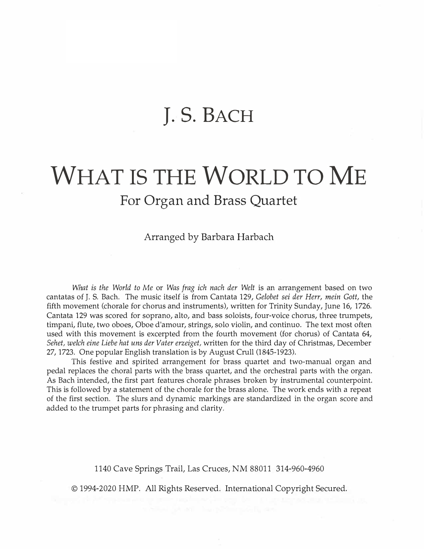## **J. S. BACH**

## **WHAT IS THE WORLD TO ME For Organ and Brass Quartet**

Arranged by Barbara Harbach

*What is the World to Me* or *Was frag ich nach der Welt* is an arrangement based on two cantatas of J. S. Bach. The music itself is from Cantata 129, *Gelobet sei der Herr, mein Gott,* the fifth movement (chorale for chorus and instruments), written for Trinity Sunday, June 16, 1726. Cantata 129 was scored for soprano, alto, and bass soloists, four-voice chorus, three trumpets, timpani, flute, two oboes, Oboe d'amour, strings, solo violin, and continua. The text most often used with this movement is excerpted from the fourth movement (for chorus) of Cantata 64, *Sehet, welch eine Liebe hat uns der Vater erzeiget,* written for the third day of Christmas, December 27, 1723. One popular English translation is by August Crull (1845-1923).

This festive and spirited arrangement for brass quartet and two-manual organ and pedal replaces the choral parts with the brass quartet, and the orchestral parts with the organ. As Bach intended, the first part features chorale phrases broken by instrumental counterpoint. This is followed by a statement of the chorale for the brass alone. The work ends with a repeat of the first section. The slurs and dynamic markings are standardized in the organ score and added to the trumpet parts for phrasing and clarity.

1140 Cave Springs Trail, Las Cruces, NM 88011 314-960-4960

© 1994-2020 HMP. All Rights Reserved. International Copyright Secured.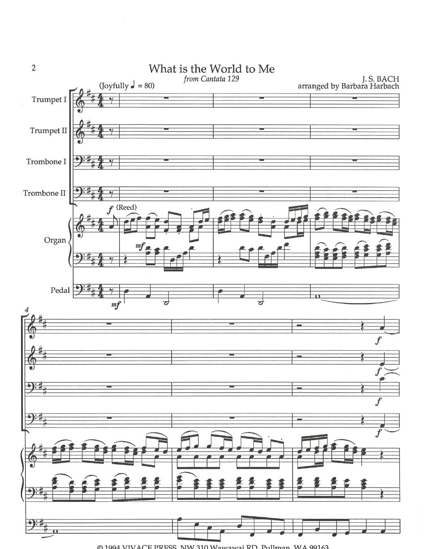